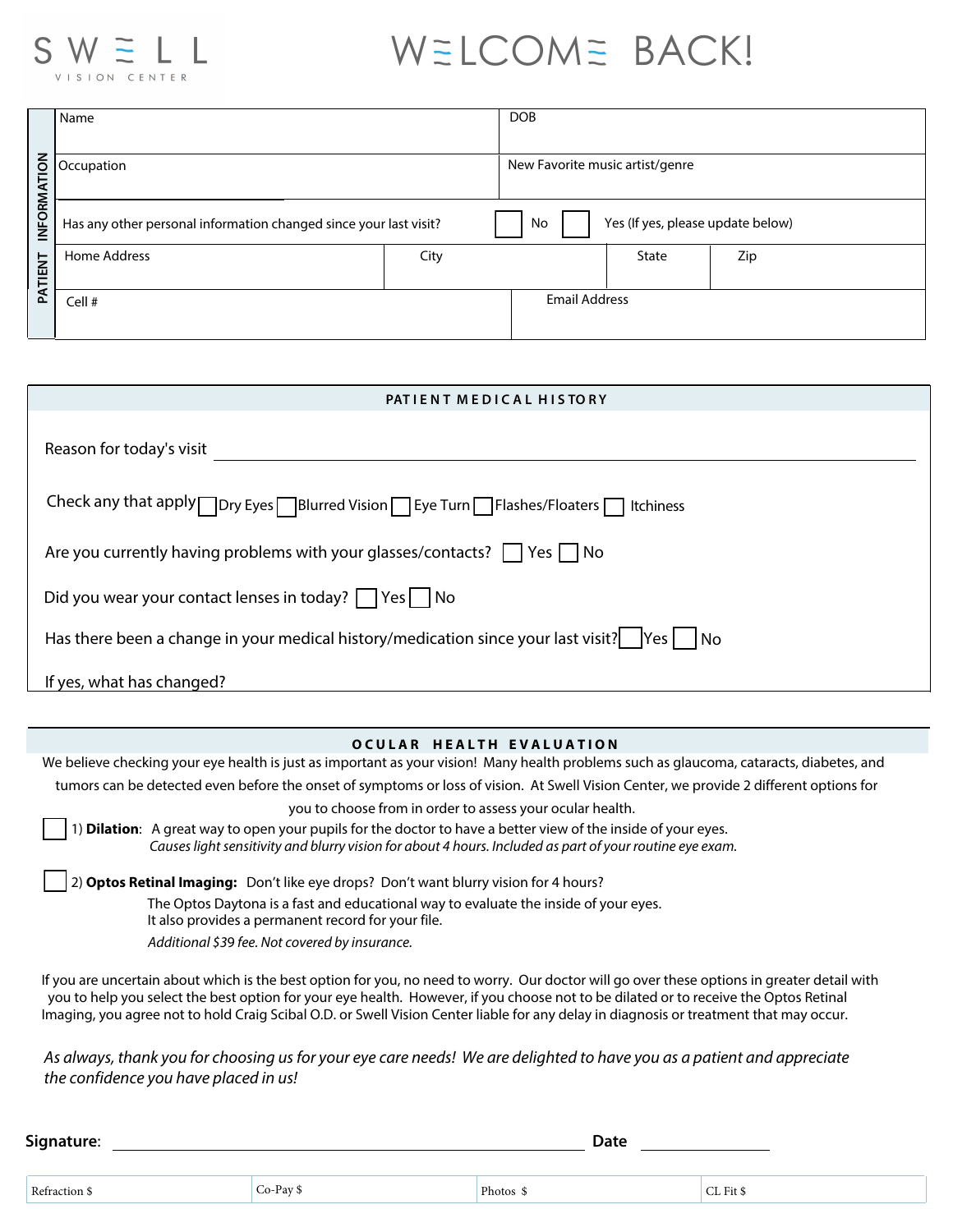

# WELCOME BACK!

|             | Name                                                              |      | <b>DOB</b>                              |              |     |
|-------------|-------------------------------------------------------------------|------|-----------------------------------------|--------------|-----|
| INFORMATION | Occupation                                                        |      | New Favorite music artist/genre         |              |     |
|             | Has any other personal information changed since your last visit? |      | Yes (If yes, please update below)<br>No |              |     |
| PATIENT     | Home Address                                                      | City |                                         | <b>State</b> | Zip |
|             | Cell #                                                            |      | <b>Email Address</b>                    |              |     |

| PATIENT MEDICAL HISTORY                                                                                             |  |  |  |  |
|---------------------------------------------------------------------------------------------------------------------|--|--|--|--|
| Reason for today's visit                                                                                            |  |  |  |  |
| Check any that apply $\Box$ Dry Eyes $\Box$ Blurred Vision $\Box$ Eye Turn $\Box$ Flashes/Floaters $\Box$ Itchiness |  |  |  |  |
| Are you currently having problems with your glasses/contacts? $\Box$ Yes $\Box$ No                                  |  |  |  |  |
| Did you wear your contact lenses in today? $\Box$ Yes $\Box$ No                                                     |  |  |  |  |
| Has there been a change in your medical history/medication since your last visit? $ Yes $ No                        |  |  |  |  |
| If yes, what has changed?                                                                                           |  |  |  |  |

#### **OCULAR HEALTH EVALUATION**

We believe checking your eye health is just as important as your vision! Many health problems such as glaucoma, cataracts, diabetes, and tumors can be detected even before the onset of symptoms or loss of vision. At Swell Vision Center, we provide 2 different options for

you to choose from in order to assess your ocular health.

1) Dilation: A great way to open your pupils for the doctor to have a better view of the inside of your eyes. Causes light sensitivity and blurry vision for about 4 hours. Included as part of your routine eye exam.

The Optos Daytona is a fast and educational way to evaluate the inside of your eyes. 2) Optos Retinal Imaging: Don't like eye drops? Don't want blurry vision for 4 hours?

It also provides a permanent record for your file.

Additional \$39 fee. Not covered by insurance.

If you are uncertain about which is the best option for you, no need to worry. Our doctor will go over these options in greater detail with you to help you select the best option for your eye health. However, if you choose not to be dilated or to receive the Optos Retinal Imaging, you agree not to hold Craig Scibal O.D. or Swell Vision Center liable for any delay in diagnosis or treatment that may occur.

As always, thank you for choosing us for your eye care needs! We are delighted to have you as a patient and appreciate the confidence you have placed in us!

**Signature**: **Date** Refraction \$ Co-Pay \$ Co-Pay \$ Photos \$ CL Fit \$